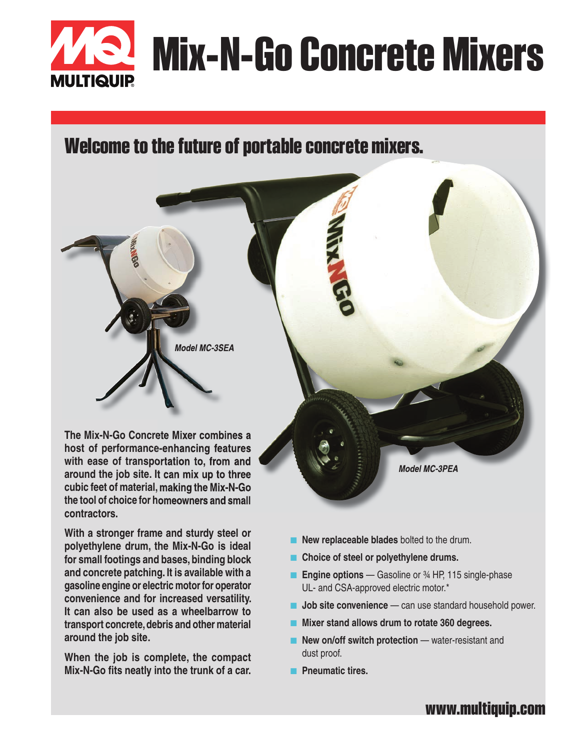

## **Welcome to the future of portable concrete mixers.**

**The Mix-N-Go Concrete Mixer combines a host of performance-enhancing features with ease of transportation to, from and around the job site. It can mix up to three cubic feet of material, making the Mix-N-Go the tool of choice for homeowners and small contractors.**

*Model MC-3SEA*

**With a stronger frame and sturdy steel or polyethylene drum, the Mix-N-Go is ideal for small footings and bases, binding block and concrete patching. It is available with a gasoline engine or electric motor for operator convenience and for increased versatility. It can also be used as a wheelbarrow to transport concrete, debris and other material around the job site.**

**When the job is complete, the compact Mix-N-Go fits neatly into the trunk of a car.**

- 
- **New replaceable blades** bolted to the drum.
- **Choice of steel or polyethylene drums.**
- **Engine options** Gasoline or <sup>3</sup>⁄4 HP, 115 single-phase UL- and CSA-approved electric motor.\*
- **Job site convenience** can use standard household power.

*Model MC-3PEA*

- Mixer stand allows drum to rotate 360 degrees.
- **New on/off switch protection** water-resistant and dust proof.
- **Pneumatic tires.**

### **www.multiquip.com**